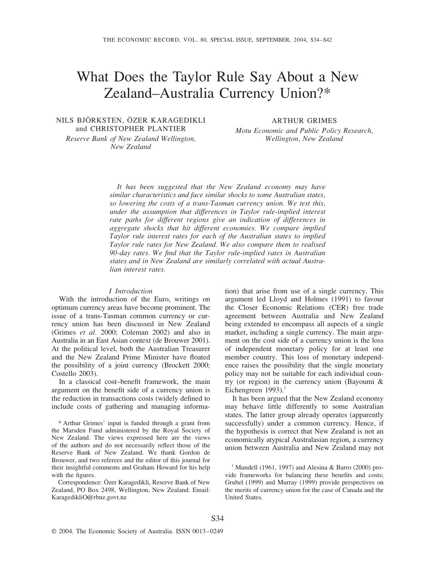# What Does the Taylor Rule Say About a New Zealand–Australia Currency Union?\*

# NILS BJÖRKSTEN, ÖZER KARAGEDIKLI and CHRISTOPHER PLANTIER

*Reserve Bank of New Zealand Wellington, New Zealand*

# ARTHUR GRIMES

*Motu Economic and Public Policy Research, Wellington, New Zealand*

*It has been suggested that the New Zealand economy may have similar characteristics and face similar shocks to some Australian states, so lowering the costs of a trans-Tasman currency union. We test this, under the assumption that differences in Taylor rule-implied interest rate paths for different regions give an indication of differences in aggregate shocks that hit different economies. We compare implied Taylor rule interest rates for each of the Australian states to implied Taylor rule rates for New Zealand. We also compare them to realised 90-day rates. We find that the Taylor rule-implied rates in Australian states and in New Zealand are similarly correlated with actual Australian interest rates.*

## *I Introduction*

With the introduction of the Euro, writings on optimum currency areas have become prominent. The issue of a trans-Tasman common currency or currency union has been discussed in New Zealand (Grimes *et al.* 2000; Coleman 2002) and also in Australia in an East Asian context (de Brouwer 2001). At the political level, both the Australian Treasurer and the New Zealand Prime Minister have floated the possibility of a joint currency (Brockett 2000; Costello 2003).

In a classical cost–benefit framework, the main argument on the benefit side of a currency union is the reduction in transactions costs (widely defined to include costs of gathering and managing informa-

\* Arthur Grimes' input is funded through a grant from the Marsden Fund administered by the Royal Society of New Zealand. The views expressed here are the views of the authors and do not necessarily reflect those of the Reserve Bank of New Zealand. We thank Gordon de Brouwer, and two referees and the editor of this journal for their insightful comments and Graham Howard for his help with the figures.

Correspondence: Özer Karagedikli, Reserve Bank of New Zealand, PO Box 2498, Wellington, New Zealand. Email: KaragedikliO@rbnz.govt.nz

tion) that arise from use of a single currency. This argument led Lloyd and Holmes (1991) to favour the Closer Economic Relations (CER) free trade agreement between Australia and New Zealand being extended to encompass all aspects of a single market, including a single currency. The main argument on the cost side of a currency union is the loss of independent monetary policy for at least one member country. This loss of monetary independence raises the possibility that the single monetary policy may not be suitable for each individual country (or region) in the currency union (Bayoumi & Eichengreen  $1993$ ).<sup>1</sup>

It has been argued that the New Zealand economy may behave little differently to some Australian states. The latter group already operates (apparently successfully) under a common currency. Hence, if the hypothesis is correct that New Zealand is not an economically atypical Australasian region, a currency union between Australia and New Zealand may not

<sup>1</sup> Mundell (1961, 1997) and Alesina & Barro (2000) provide frameworks for balancing these benefits and costs; Grubel (1999) and Murray (1999) provide perspectives on the merits of currency union for the case of Canada and the United States.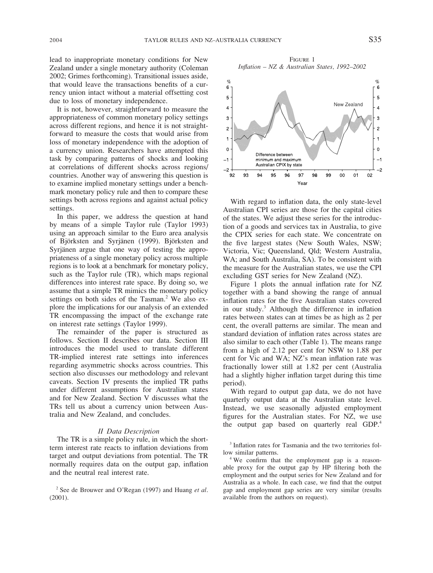It is not, however, straightforward to measure the appropriateness of common monetary policy settings across different regions, and hence it is not straightforward to measure the costs that would arise from loss of monetary independence with the adoption of a currency union. Researchers have attempted this task by comparing patterns of shocks and looking at correlations of different shocks across regions/ countries. Another way of answering this question is to examine implied monetary settings under a benchmark monetary policy rule and then to compare these settings both across regions and against actual policy settings.

In this paper, we address the question at hand by means of a simple Taylor rule (Taylor 1993) using an approach similar to the Euro area analysis of Björksten and Syrjänen (1999). Björksten and Syrjänen argue that one way of testing the appropriateness of a single monetary policy across multiple regions is to look at a benchmark for monetary policy, such as the Taylor rule (TR), which maps regional differences into interest rate space. By doing so, we assume that a simple TR mimics the monetary policy settings on both sides of the Tasman.<sup>2</sup> We also explore the implications for our analysis of an extended TR encompassing the impact of the exchange rate on interest rate settings (Taylor 1999).

The remainder of the paper is structured as follows. Section II describes our data. Section III introduces the model used to translate different TR-implied interest rate settings into inferences regarding asymmetric shocks across countries. This section also discusses our methodology and relevant caveats. Section IV presents the implied TR paths under different assumptions for Australian states and for New Zealand. Section V discusses what the TRs tell us about a currency union between Australia and New Zealand, and concludes.

#### *II Data Description*

The TR is a simple policy rule, in which the shortterm interest rate reacts to inflation deviations from target and output deviations from potential. The TR normally requires data on the output gap, inflation and the neutral real interest rate.

<sup>2</sup> See de Brouwer and O'Regan (1997) and Huang *et al*. (2001).

Figure 1 *Inflation – NZ & Australian States, 1992–2002*



With regard to inflation data, the only state-level Australian CPI series are those for the capital cities of the states. We adjust these series for the introduction of a goods and services tax in Australia, to give the CPIX series for each state. We concentrate on the five largest states (New South Wales, NSW; Victoria, Vic; Queensland, Qld; Western Australia, WA; and South Australia, SA). To be consistent with the measure for the Australian states, we use the CPI excluding GST series for New Zealand (NZ).

Figure 1 plots the annual inflation rate for NZ together with a band showing the range of annual inflation rates for the five Australian states covered in our study.3 Although the difference in inflation rates between states can at times be as high as 2 per cent, the overall patterns are similar. The mean and standard deviation of inflation rates across states are also similar to each other (Table 1). The means range from a high of 2.12 per cent for NSW to 1.88 per cent for Vic and WA; NZ's mean inflation rate was fractionally lower still at 1.82 per cent (Australia had a slightly higher inflation target during this time period).

With regard to output gap data, we do not have quarterly output data at the Australian state level. Instead, we use seasonally adjusted employment figures for the Australian states. For NZ, we use the output gap based on quarterly real GDP.4

<sup>&</sup>lt;sup>3</sup> Inflation rates for Tasmania and the two territories follow similar patterns.

<sup>&</sup>lt;sup>4</sup> We confirm that the employment gap is a reasonable proxy for the output gap by HP filtering both the employment and the output series for New Zealand and for Australia as a whole. In each case, we find that the output gap and employment gap series are very similar (results available from the authors on request).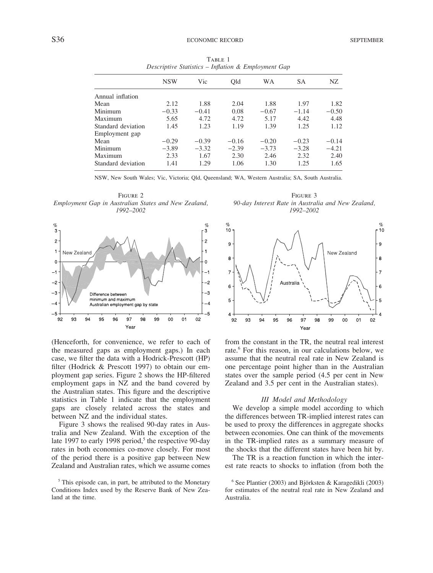| <b>NSW</b> | Vic     | Old     | WA      | SА      | NZ.     |
|------------|---------|---------|---------|---------|---------|
|            |         |         |         |         |         |
| 2.12       | 1.88    | 2.04    | 1.88    | 1.97    | 1.82    |
| $-0.33$    | $-0.41$ | 0.08    | $-0.67$ | $-1.14$ | $-0.50$ |
| 5.65       | 4.72    | 4.72    | 5.17    | 4.42    | 4.48    |
| 1.45       | 1.23    | 1.19    | 1.39    | 1.25    | 1.12    |
|            |         |         |         |         |         |
| $-0.29$    | $-0.39$ | $-0.16$ | $-0.20$ | $-0.23$ | $-0.14$ |
| $-3.89$    | $-3.32$ | $-2.39$ | $-3.73$ | $-3.28$ | $-4.21$ |
| 2.33       | 1.67    | 2.30    | 2.46    | 2.32    | 2.40    |
| 1.41       | 1.29    | 1.06    | 1.30    | 1.25    | 1.65    |
|            |         |         |         |         |         |

TABLE 1 *Descriptive Statistics – Inflation & Employment Gap*

NSW, New South Wales; Vic, Victoria; Qld, Queensland; WA, Western Australia; SA, South Australia.

Figure 2 *Employment Gap in Australian States and New Zealand, 1992–2002*



(Henceforth, for convenience, we refer to each of the measured gaps as employment gaps.) In each case, we filter the data with a Hodrick-Prescott (HP) filter (Hodrick & Prescott 1997) to obtain our employment gap series. Figure 2 shows the HP-filtered employment gaps in NZ and the band covered by the Australian states. This figure and the descriptive statistics in Table 1 indicate that the employment gaps are closely related across the states and between NZ and the individual states.

Figure 3 shows the realised 90-day rates in Australia and New Zealand. With the exception of the late 1997 to early 1998 period,<sup>5</sup> the respective 90-day rates in both economies co-move closely. For most of the period there is a positive gap between New Zealand and Australian rates, which we assume comes

Figure 3 *90-day Interest Rate in Australia and New Zealand, 1992–2002*



from the constant in the TR, the neutral real interest rate.<sup>6</sup> For this reason, in our calculations below, we assume that the neutral real rate in New Zealand is one percentage point higher than in the Australian states over the sample period (4.5 per cent in New Zealand and 3.5 per cent in the Australian states).

# *III Model and Methodology*

We develop a simple model according to which the differences between TR-implied interest rates can be used to proxy the differences in aggregate shocks between economies. One can think of the movements in the TR-implied rates as a summary measure of the shocks that the different states have been hit by.

The TR is a reaction function in which the interest rate reacts to shocks to inflation (from both the

<sup>&</sup>lt;sup>5</sup> This episode can, in part, be attributed to the Monetary Conditions Index used by the Reserve Bank of New Zealand at the time.

<sup>6</sup> See Plantier (2003) and Björksten & Karagedikli (2003) for estimates of the neutral real rate in New Zealand and Australia.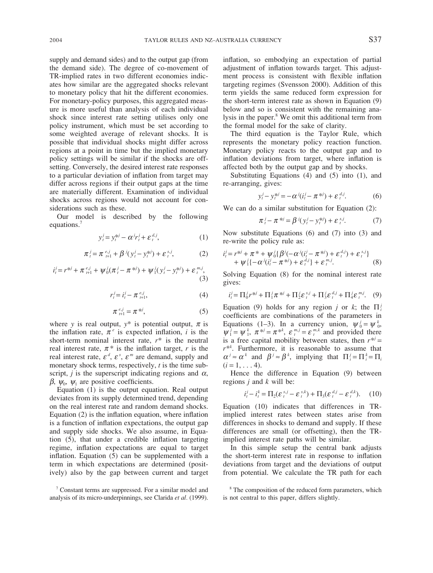supply and demand sides) and to the output gap (from the demand side). The degree of co-movement of TR-implied rates in two different economies indicates how similar are the aggregated shocks relevant to monetary policy that hit the different economies. For monetary-policy purposes, this aggregated measure is more useful than analysis of each individual shock since interest rate setting utilises only one policy instrument, which must be set according to some weighted average of relevant shocks. It is possible that individual shocks might differ across regions at a point in time but the implied monetary policy settings will be similar if the shocks are offsetting. Conversely, the desired interest rate responses to a particular deviation of inflation from target may differ across regions if their output gaps at the time are materially different. Examination of individual shocks across regions would not account for considerations such as these.

Our model is described by the following equations.<sup>7</sup>

$$
y_t^j = y_t^{*j} - \alpha^j r_t^j + \varepsilon_t^{d,j},\tag{1}
$$

$$
\pi_i^j = \pi_{i+1}^{e,j} + \beta_j^j (y_i^j - y_i^{*j}) + \varepsilon_i^{s,j}, \tag{2}
$$

$$
i_t^j = r^{*j} + \pi_{t+1}^{e,j} + \psi_0^j(\pi_t^j - \pi^{*j}) + \psi_1^j(y_t^j - y_t^{*j}) + \varepsilon_t^{m,j},
$$
\n(3)

$$
r_t^j = i_t^j - \pi_{t+1}^{e,j},\tag{4}
$$

$$
\pi_{i+1}^{e,j} = \pi^{*j},\tag{5}
$$

where *y* is real output,  $y^*$  is potential output,  $\pi$  is the inflation rate,  $\pi^e$  is expected inflation, *i* is the short-term nominal interest rate, *r*\* is the neutral real interest rate,  $\pi^*$  is the inflation target, *r* is the real interest rate,  $\varepsilon^d$ ,  $\varepsilon^s$ ,  $\varepsilon^m$  are demand, supply and monetary shock terms, respectively, *t* is the time subscript, *j* is the superscript indicating regions and  $\alpha$ ,  $β$ ,  $ψ$ <sub>0</sub>,  $ψ$ <sub>1</sub> are positive coefficients.

Equation (1) is the output equation. Real output deviates from its supply determined trend, depending on the real interest rate and random demand shocks. Equation (2) is the inflation equation, where inflation is a function of inflation expectations, the output gap and supply side shocks. We also assume, in Equation (5), that under a credible inflation targeting regime, inflation expectations are equal to target inflation. Equation (5) can be supplemented with a term in which expectations are determined (positively) also by the gap between current and target

inflation, so embodying an expectation of partial adjustment of inflation towards target. This adjustment process is consistent with flexible inflation targeting regimes (Svensson 2000). Addition of this term yields the same reduced form expression for the short-term interest rate as shown in Equation (9) below and so is consistent with the remaining analysis in the paper.8 We omit this additional term from the formal model for the sake of clarity.

The third equation is the Taylor Rule, which represents the monetary policy reaction function. Monetary policy reacts to the output gap and to inflation deviations from target, where inflation is affected both by the output gap and by shocks.

Substituting Equations  $(4)$  and  $(5)$  into  $(1)$ , and re-arranging, gives:

$$
y_t^j - y_t^{*j} = -\alpha^j (i_t^j - \pi^{*j}) + \varepsilon_t^{d,j}.
$$
 (6)

We can do a similar substitution for Equation (2):

$$
\pi_i^j - \pi^{*j} = \beta^j (y_i^j - y_i^{*j}) + \varepsilon_i^{s,j}.
$$
 (7)

Now substitute Equations (6) and (7) into (3) and re-write the policy rule as:

$$
i_{i}^{j} = r^{*j} + \pi^{*} + \psi_{0}^{j} \{ \beta^{j}(-\alpha^{j}(i_{t}^{j} - \pi^{*j}) + \varepsilon_{t}^{d_{j}}) + \varepsilon_{t}^{s_{j}} \} + \psi_{1}^{j} \{-\alpha^{j}(i_{t}^{j} - \pi^{*j}) + \varepsilon_{t}^{d_{j}} \} + \varepsilon_{t}^{m_{j}}.
$$
 (8)

Solving Equation (8) for the nominal interest rate gives:

$$
i_t^j = \prod_j^j r^{*j} + \prod_j^j \pi^{*j} + \prod_j^j \varepsilon_i^{s,j} + \prod_j^j \varepsilon_i^{d,j} + \prod_j^j \varepsilon_i^{m,j}. \quad (9)
$$

Equation (9) holds for any region *j* or *k*; the  $\Pi_i^j$ coefficients are combinations of the parameters in Equations (1–3). In a currency union,  $\psi_0^j = \psi_0^k$ ,  $\psi_1^j = \psi_1^k$ ,  $\pi^{*j} = \pi^{*k}$ ,  $\varepsilon_i^{m,j} = \varepsilon_i^{m,k}$  and provided there is a free capital mobility between states, then  $r^{*j}$  = *r*\**<sup>k</sup>* . Furthermore, it is reasonable to assume that  $\alpha^{j} \approx \alpha^{k}$  and  $\beta^{j} \approx \beta^{k}$ , implying that  $\Pi_{i}^{j} = \Pi_{i}^{k} = \Pi_{i}$  $(i = 1, \ldots, 4)$ .

Hence the difference in Equation (9) between regions *j* and *k* will be:

$$
i_t^j - i_t^k = \Pi_2(\varepsilon_t^{s,j} - \varepsilon_t^{s,k}) + \Pi_3(\varepsilon_t^{d,j} - \varepsilon_t^{d,k}).
$$
 (10)

Equation (10) indicates that differences in TRimplied interest rates between states arise from differences in shocks to demand and supply. If these differences are small (or offsetting), then the TRimplied interest rate paths will be similar.

In this simple setup the central bank adjusts the short-term interest rate in response to inflation deviations from target and the deviations of output from potential. We calculate the TR path for each

<sup>7</sup> Constant terms are suppressed. For a similar model and analysis of its micro-underpinnings, see Clarida *et al.* (1999).

<sup>&</sup>lt;sup>8</sup> The composition of the reduced form parameters, which is not central to this paper, differs slightly.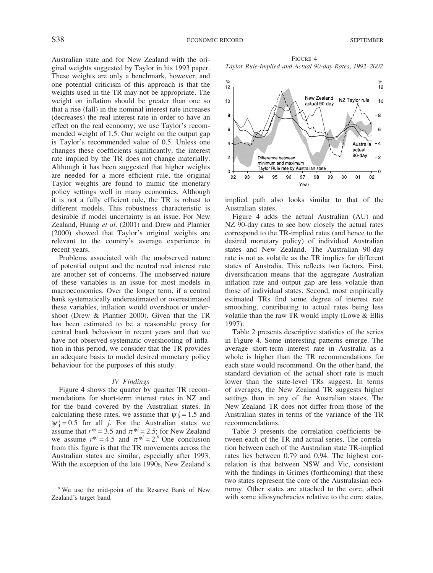Australian state and for New Zealand with the original weights suggested by Taylor in his 1993 paper. These weights are only a benchmark, however, and one potential criticism of this approach is that the weights used in the TR may not be appropriate. The weight on inflation should be greater than one so that a rise (fall) in the nominal interest rate increases (decreases) the real interest rate in order to have an effect on the real economy; we use Taylor's recommended weight of 1.5. Our weight on the output gap is Taylor's recommended value of 0.5. Unless one changes these coefficients significantly, the interest rate implied by the TR does not change materially. Although it has been suggested that higher weights are needed for a more efficient rule, the original Taylor weights are found to mimic the monetary policy settings well in many economies. Although it is not a fully efficient rule, the TR is robust to different models. This robustness characteristic is desirable if model uncertainty is an issue. For New Zealand, Huang *et al.* (2001) and Drew and Plantier (2000) showed that Taylor's original weights are relevant to the country's average experience in recent years.

Problems associated with the unobserved nature of potential output and the neutral real interest rate are another set of concerns. The unobserved nature of these variables is an issue for most models in macroeconomics. Over the longer term, if a central bank systematically underestimated or overestimated these variables, inflation would overshoot or undershoot (Drew & Plantier 2000). Given that the TR has been estimated to be a reasonable proxy for central bank behaviour in recent years and that we have not observed systematic overshooting of inflation in this period, we consider that the TR provides an adequate basis to model desired monetary policy behaviour for the purposes of this study.

#### *IV Findings*

Figure 4 shows the quarter by quarter TR recommendations for short-term interest rates in NZ and for the band covered by the Australian states. In calculating these rates, we assume that  $\psi_0^j = 1.5$  and  $\psi_1^j = 0.5$  for all *j*. For the Australian states we assume that  $r^{*j} = 3.5$  and  $\pi^{*j} = 2.5$ ; for New Zealand we assume  $r^{*j} = 4.5$  and  $\pi^{*j} = 2.9$  One conclusion from this figure is that the TR movements across the Australian states are similar, especially after 1993. With the exception of the late 1990s, New Zealand's

Figure 4 *Taylor Rule-Implied and Actual 90-day Rates, 1992–2002*



implied path also looks similar to that of the Australian states.

Figure 4 adds the actual Australian (AU) and NZ 90-day rates to see how closely the actual rates correspond to the TR-implied rates (and hence to the desired monetary policy) of individual Australian states and New Zealand. The Australian 90-day rate is not as volatile as the TR implies for different states of Australia. This reflects two factors. First, diversification means that the aggregate Australian inflation rate and output gap are less volatile than those of individual states. Second, most empirically estimated TRs find some degree of interest rate smoothing, contributing to actual rates being less volatile than the raw TR would imply (Lowe & Ellis 1997).

Table 2 presents descriptive statistics of the series in Figure 4. Some interesting patterns emerge. The average short-term interest rate in Australia as a whole is higher than the TR recommendations for each state would recommend. On the other hand, the standard deviation of the actual short rate is much lower than the state-level TRs suggest. In terms of averages, the New Zealand TR suggests higher settings than in any of the Australian states. The New Zealand TR does not differ from those of the Australian states in terms of the variance of the TR recommendations.

Table 3 presents the correlation coefficients between each of the TR and actual series. The correlation between each of the Australian state TR-implied rates lies between 0.79 and 0.94. The highest correlation is that between NSW and Vic, consistent with the findings in Grimes (forthcoming) that these two states represent the core of the Australasian economy. Other states are attached to the core, albeit with some idiosynchracies relative to the core states.

<sup>9</sup> We use the mid-point of the Reserve Bank of New Zealand's target band.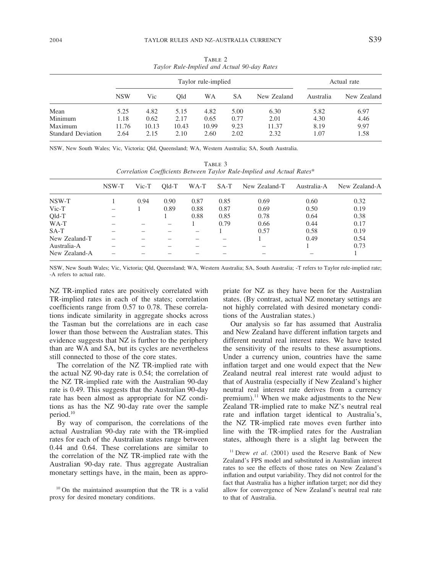| Taylor Rule-Implied and Actual 90-day Rates |                     |       |       |       |      |             |             |             |  |  |
|---------------------------------------------|---------------------|-------|-------|-------|------|-------------|-------------|-------------|--|--|
|                                             | Taylor rule-implied |       |       |       |      |             | Actual rate |             |  |  |
|                                             | <b>NSW</b>          | Vic   | Old   | WA    | SА   | New Zealand | Australia   | New Zealand |  |  |
| Mean                                        | 5.25                | 4.82  | 5.15  | 4.82  | 5.00 | 6.30        | 5.82        | 6.97        |  |  |
| Minimum                                     | 1.18                | 0.62  | 2.17  | 0.65  | 0.77 | 2.01        | 4.30        | 4.46        |  |  |
| Maximum                                     | 11.76               | 10.13 | 10.43 | 10.99 | 9.23 | 11.37       | 8.19        | 9.97        |  |  |
| <b>Standard Deviation</b>                   | 2.64                | 2.15  | 2.10  | 2.60  | 2.02 | 2.32        | 1.07        | 1.58        |  |  |

TABLE 2 *Taylor Rule-Implied and Actual 90-day Rates*

NSW, New South Wales; Vic, Victoria; Qld, Queensland; WA, Western Australia; SA, South Australia.

Table 3 *Correlation Coefficients Between Taylor Rule-Implied and Actual Rates\** NSW-T Vic-T Qld-T WA-T SA-T New Zealand-T Australia-A New Zealand-A NSW-T 1 0.94 0.90 0.87 0.85 0.69 0.60 0.32 Vic-T – 1 0.89 0.88 0.87 0.69 0.50 0.19 Qld-T – 1 0.88 0.85 0.78 0.64 0.38 WA-T – – – 1 0.79 0.66 0.44 0.17  $S_A - T$  – – – – 1 0.57 0.58 0.19 New Zealand-T – – – – – – 1 0.49 0.54 Australia-A – – – – – – 1 0.73 New Zealand-A – – – – – – – – – – – 1

NSW, New South Wales; Vic, Victoria; Qld, Queensland; WA, Western Australia; SA, South Australia; -T refers to Taylor rule-implied rate; -A refers to actual rate.

NZ TR-implied rates are positively correlated with TR-implied rates in each of the states; correlation coefficients range from 0.57 to 0.78. These correlations indicate similarity in aggregate shocks across the Tasman but the correlations are in each case lower than those between the Australian states. This evidence suggests that NZ is further to the periphery than are WA and SA, but its cycles are nevertheless still connected to those of the core states.

The correlation of the NZ TR-implied rate with the actual NZ 90-day rate is 0.54; the correlation of the NZ TR-implied rate with the Australian 90-day rate is 0.49. This suggests that the Australian 90-day rate has been almost as appropriate for NZ conditions as has the NZ 90-day rate over the sample period.10

By way of comparison, the correlations of the actual Australian 90-day rate with the TR-implied rates for each of the Australian states range between 0.44 and 0.64. These correlations are similar to the correlation of the NZ TR-implied rate with the Australian 90-day rate. Thus aggregate Australian monetary settings have, in the main, been as appro-

<sup>10</sup> On the maintained assumption that the TR is a valid proxy for desired monetary conditions.

priate for NZ as they have been for the Australian states. (By contrast, actual NZ monetary settings are not highly correlated with desired monetary conditions of the Australian states.)

Our analysis so far has assumed that Australia and New Zealand have different inflation targets and different neutral real interest rates. We have tested the sensitivity of the results to these assumptions. Under a currency union, countries have the same inflation target and one would expect that the New Zealand neutral real interest rate would adjust to that of Australia (especially if New Zealand's higher neutral real interest rate derives from a currency premium).<sup>11</sup> When we make adjustments to the New Zealand TR-implied rate to make NZ's neutral real rate and inflation target identical to Australia's, the NZ TR-implied rate moves even further into line with the TR-implied rates for the Australian states, although there is a slight lag between the

<sup>11</sup> Drew *et al*. (2001) used the Reserve Bank of New Zealand's FPS model and substituted in Australian interest rates to see the effects of those rates on New Zealand's inflation and output variability. They did not control for the fact that Australia has a higher inflation target; nor did they allow for convergence of New Zealand's neutral real rate to that of Australia.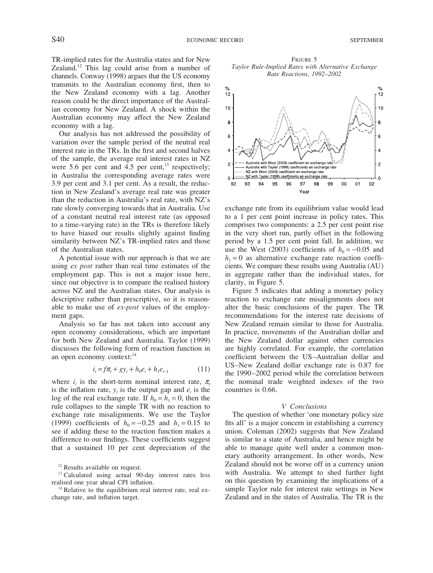TR-implied rates for the Australia states and for New Zealand.12 This lag could arise from a number of channels. Conway (1998) argues that the US economy transmits to the Australian economy first, then to the New Zealand economy with a lag. Another reason could be the direct importance of the Australian economy for New Zealand. A shock within the Australian economy may affect the New Zealand economy with a lag.

Our analysis has not addressed the possibility of variation over the sample period of the neutral real interest rate in the TRs. In the first and second halves of the sample, the average real interest rates in NZ were 5.6 per cent and  $4.5$  per cent,<sup>13</sup> respectively; in Australia the corresponding average rates were 3.9 per cent and 3.1 per cent. As a result, the reduction in New Zealand's average real rate was greater than the reduction in Australia's real rate, with NZ's rate slowly converging towards that in Australia. Use of a constant neutral real interest rate (as opposed to a time-varying rate) in the TRs is therefore likely to have biased our results slightly against finding similarity between NZ's TR-implied rates and those of the Australian states.

A potential issue with our approach is that we are using *ex post* rather than real time estimates of the employment gap. This is not a major issue here, since our objective is to compare the realised history across NZ and the Australian states. Our analysis is descriptive rather than prescriptive, so it is reasonable to make use of *ex-post* values of the employment gaps.

Analysis so far has not taken into account any open economy considerations, which are important for both New Zealand and Australia. Taylor (1999) discusses the following form of reaction function in an open economy context:<sup>14</sup>

$$
i_t = f\pi_t + gy_t + h_0e_t + h_1e_{t-1}
$$
 (11)

where  $i_t$  is the short-term nominal interest rate,  $\pi_t$ is the inflation rate,  $y_t$  is the output gap and  $e_t$  is the log of the real exchange rate. If  $h_0 = h_1 = 0$ , then the rule collapses to the simple TR with no reaction to exchange rate misalignments. We use the Taylor (1999) coefficients of  $h_0 = -0.25$  and  $h_1 = 0.15$  to see if adding these to the reaction function makes a difference to our findings. These coefficients suggest that a sustained 10 per cent depreciation of the

<sup>12</sup> Results available on request.

<sup>13</sup> Calculated using actual 90-day interest rates less realised one year ahead CPI inflation.

<sup>14</sup> Relative to the equilibrium real interest rate, real exchange rate, and inflation target.

Figure 5 *Taylor Rule-Implied Rates with Alternative Exchange Rate Reactions, 1992–2002*



exchange rate from its equilibrium value would lead to a 1 per cent point increase in policy rates. This comprises two components: a 2.5 per cent point rise in the very short run, partly offset in the following period by a 1.5 per cent point fall. In addition, we use the West (2003) coefficients of  $h_0 = -0.05$  and  $h_1 = 0$  as alternative exchange rate reaction coefficients. We compare these results using Australia (AU) in aggregate rather than the individual states, for clarity, in Figure 5.

Figure 5 indicates that adding a monetary policy reaction to exchange rate misalignments does not alter the basic conclusions of the paper. The TR recommendations for the interest rate decisions of New Zealand remain similar to those for Australia. In practice, movements of the Australian dollar and the New Zealand dollar against other currencies are highly correlated. For example, the correlation coefficient between the US–Australian dollar and US–New Zealand dollar exchange rate is 0.87 for the 1990–2002 period while the correlation between the nominal trade weighted indexes of the two countries is 0.66.

## *V Conclusions*

The question of whether 'one monetary policy size fits all' is a major concern in establishing a currency union. Coleman (2002) suggests that New Zealand is similar to a state of Australia, and hence might be able to manage quite well under a common monetary authority arrangement. In other words, New Zealand should not be worse off in a currency union with Australia. We attempt to shed further light on this question by examining the implications of a simple Taylor rule for interest rate settings in New Zealand and in the states of Australia. The TR is the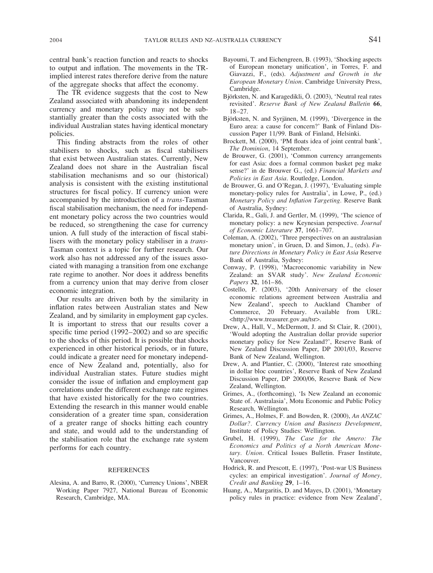central bank's reaction function and reacts to shocks to output and inflation. The movements in the TRimplied interest rates therefore derive from the nature of the aggregate shocks that affect the economy.

The TR evidence suggests that the cost to New Zealand associated with abandoning its independent currency and monetary policy may not be substantially greater than the costs associated with the individual Australian states having identical monetary policies.

This finding abstracts from the roles of other stabilisers to shocks, such as fiscal stabilisers that exist between Australian states. Currently, New Zealand does not share in the Australian fiscal stabilisation mechanisms and so our (historical) analysis is consistent with the existing institutional structures for fiscal policy. If currency union were accompanied by the introduction of a *trans*-Tasman fiscal stabilisation mechanism, the need for independent monetary policy across the two countries would be reduced, so strengthening the case for currency union. A full study of the interaction of fiscal stabilisers with the monetary policy stabiliser in a *trans*-Tasman context is a topic for further research. Our work also has not addressed any of the issues associated with managing a transition from one exchange rate regime to another. Nor does it address benefits from a currency union that may derive from closer economic integration.

Our results are driven both by the similarity in inflation rates between Australian states and New Zealand, and by similarity in employment gap cycles. It is important to stress that our results cover a specific time period (1992–2002) and so are specific to the shocks of this period. It is possible that shocks experienced in other historical periods, or in future, could indicate a greater need for monetary independence of New Zealand and, potentially, also for individual Australian states. Future studies might consider the issue of inflation and employment gap correlations under the different exchange rate regimes that have existed historically for the two countries. Extending the research in this manner would enable consideration of a greater time span, consideration of a greater range of shocks hitting each country and state, and would add to the understanding of the stabilisation role that the exchange rate system performs for each country.

## **REFERENCES**

Alesina, A. and Barro, R. (2000), 'Currency Unions', NBER Working Paper 7927, National Bureau of Economic Research, Cambridge, MA.

- Bayoumi, T. and Eichengreen, B. (1993), 'Shocking aspects of European monetary unification', in Torres, F. and Giavazzi, F., (eds). *Adjustment and Growth in the European Monetary Union*. Cambridge University Press, Cambridge.
- Björksten, N. and Karagedikli, Ö. (2003), 'Neutral real rates revisited'. *Reserve Bank of New Zealand Bulletin* **66**, 18–27.
- Björksten, N. and Syrjänen, M. (1999), 'Divergence in the Euro area: a cause for concern?' Bank of Finland Discussion Paper 11/99. Bank of Finland, Helsinki.
- Brockett, M. (2000), 'PM floats idea of joint central bank', *The Dominion*, 14 September.
- de Brouwer, G. (2001), 'Common currency arrangements for east Asia: does a formal common basket peg make sense?' in de Brouwer G., (ed.) *Financial Markets and Policies in East Asia*. Routledge, London.
- de Brouwer, G. and O'Regan, J. (1997), 'Evaluating simple monetary-policy rules for Australia', in Lowe, P., (ed.) *Monetary Policy and Inflation Targeting.* Reserve Bank of Australia, Sydney:
- Clarida, R., Gali, J. and Gertler, M. (1999), 'The science of monetary policy: a new Keynesian perspective. *Journal of Economic Literature* **37**, 1661–707.
- Coleman, A. (2002), 'Three perspectives on an australasian monetary union', in Gruen, D. and Simon, J., (eds). *Future Directions in Monetary Policy in East Asia* Reserve Bank of Australia, Sydney:
- Conway, P. (1998), 'Macroeconomic variability in New Zealand: an SVAR study'. *New Zealand Economic Papers* **32**, 161–86.
- Costello, P. (2003), '20th Anniversary of the closer economic relations agreement between Australia and New Zealand', speech to Auckland Chamber of Commerce, 20 February. Available from URL: <<http://www.treasurer.gov.au/tsr>>.
- Drew, A., Hall, V., McDermott, J. and St Clair, R. (2001), 'Would adopting the Australian dollar provide superior monetary policy for New Zealand?', Reserve Bank of New Zealand Discussion Paper, DP 2001/03, Reserve Bank of New Zealand, Wellington.
- Drew, A. and Plantier, C. (2000), 'Interest rate smoothing in dollar bloc countries', Reserve Bank of New Zealand Discussion Paper, DP 2000/06, Reserve Bank of New Zealand, Wellington.
- Grimes, A., (forthcoming), 'Is New Zealand an economic State of. Australasia', Motu Economic and Public Policy Research, Wellington.
- Grimes, A., Holmes, F. and Bowden, R. (2000), *An ANZAC Dollar?. Currency Union and Business Development*, Institute of Policy Studies: Wellington.
- Grubel, H. (1999), *The Case for the Amero: The Economics and Politics of a North American Monetary. Union*. Critical Issues Bulletin. Fraser Institute, Vancouver.
- Hodrick, R. and Prescott, E. (1997), 'Post-war US Business cycles: an empirical investigation'. *Journal of Money, Credit and Banking* **29**, 1–16.
- Huang, A., Margaritis, D. and Mayes, D. (2001), 'Monetary policy rules in practice: evidence from New Zealand',